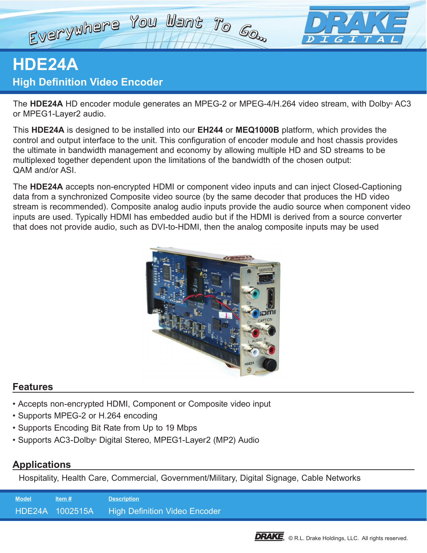# Everywhere You Want To Go.

# **HDE24A High Definition Video Encoder**

The **HDE24A** HD encoder module generates an MPEG-2 or MPEG-4/H.264 video stream, with Dolby® AC3 or MPEG1-Layer2 audio.

This **HDE24A** is designed to be installed into our **EH244** or **MEQ1000B** platform, which provides the control and output interface to the unit. This configuration of encoder module and host chassis provides the ultimate in bandwidth management and economy by allowing multiple HD and SD streams to be multiplexed together dependent upon the limitations of the bandwidth of the chosen output: QAM and/or ASI.

The **HDE24A** accepts non-encrypted HDMI or component video inputs and can inject Closed-Captioning data from a synchronized Composite video source (by the same decoder that produces the HD video stream is recommended). Composite analog audio inputs provide the audio source when component video inputs are used. Typically HDMI has embedded audio but if the HDMI is derived from a source converter that does not provide audio, such as DVI-to-HDMI, then the analog composite inputs may be used



# **Features**

- Accepts non-encrypted HDMI, Component or Composite video input
- Supports MPEG-2 or H.264 encoding
- Supports Encoding Bit Rate from Up to 19 Mbps
- Supports AC3-Dolby® Digital Stereo, MPEG1-Layer2 (MP2) Audio

# **Applications**

Hospitality, Health Care, Commercial, Government/Military, Digital Signage, Cable Networks

| <b>Model</b> | Item $#$        | <b>Description</b>                   |
|--------------|-----------------|--------------------------------------|
|              | HDE24A 1002515A | <b>High Definition Video Encoder</b> |